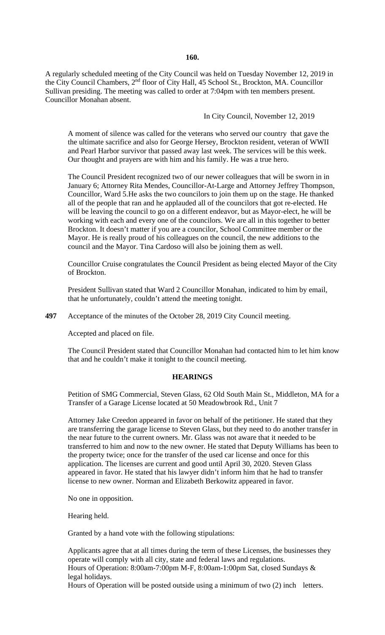#### **160.**

A regularly scheduled meeting of the City Council was held on Tuesday November 12, 2019 in the City Council Chambers, 2nd floor of City Hall, 45 School St., Brockton, MA. Councillor Sullivan presiding. The meeting was called to order at 7:04pm with ten members present. Councillor Monahan absent.

In City Council, November 12, 2019

A moment of silence was called for the veterans who served our country that gave the the ultimate sacrifice and also for George Hersey, Brockton resident, veteran of WWII and Pearl Harbor survivor that passed away last week. The services will be this week. Our thought and prayers are with him and his family. He was a true hero.

The Council President recognized two of our newer colleagues that will be sworn in in January 6; Attorney Rita Mendes, Councillor-At-Large and Attorney Jeffrey Thompson, Councillor, Ward 5.He asks the two councilors to join them up on the stage. He thanked all of the people that ran and he applauded all of the councilors that got re-elected. He will be leaving the council to go on a different endeavor, but as Mayor-elect, he will be working with each and every one of the councilors. We are all in this together to better Brockton. It doesn't matter if you are a councilor, School Committee member or the Mayor. He is really proud of his colleagues on the council, the new additions to the council and the Mayor. Tina Cardoso will also be joining them as well.

Councillor Cruise congratulates the Council President as being elected Mayor of the City of Brockton.

President Sullivan stated that Ward 2 Councillor Monahan, indicated to him by email, that he unfortunately, couldn't attend the meeting tonight.

**497** Acceptance of the minutes of the October 28, 2019 City Council meeting.

Accepted and placed on file.

The Council President stated that Councillor Monahan had contacted him to let him know that and he couldn't make it tonight to the council meeting.

#### **HEARINGS**

Petition of SMG Commercial, Steven Glass, 62 Old South Main St., Middleton, MA for a Transfer of a Garage License located at 50 Meadowbrook Rd., Unit 7

Attorney Jake Creedon appeared in favor on behalf of the petitioner. He stated that they are transferring the garage license to Steven Glass, but they need to do another transfer in the near future to the current owners. Mr. Glass was not aware that it needed to be transferred to him and now to the new owner. He stated that Deputy Williams has been to the property twice; once for the transfer of the used car license and once for this application. The licenses are current and good until April 30, 2020. Steven Glass appeared in favor. He stated that his lawyer didn't inform him that he had to transfer license to new owner. Norman and Elizabeth Berkowitz appeared in favor.

No one in opposition.

Hearing held.

Granted by a hand vote with the following stipulations:

Applicants agree that at all times during the term of these Licenses, the businesses they operate will comply with all city, state and federal laws and regulations. Hours of Operation: 8:00am-7:00pm M-F, 8:00am-1:00pm Sat, closed Sundays & legal holidays.

Hours of Operation will be posted outside using a minimum of two (2) inch letters.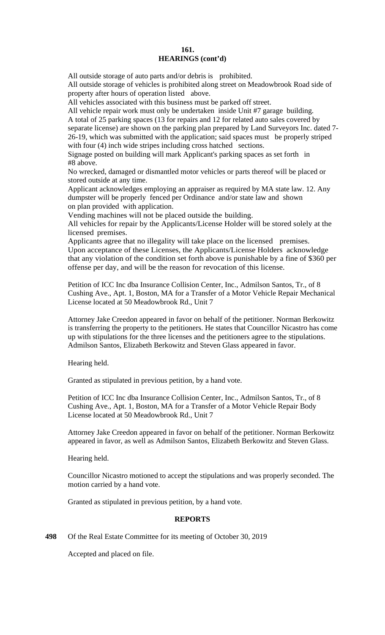### **161. HEARINGS (cont'd)**

All outside storage of auto parts and/or debris is prohibited.

All outside storage of vehicles is prohibited along street on Meadowbrook Road side of property after hours of operation listed above.

All vehicles associated with this business must be parked off street.

All vehicle repair work must only be undertaken inside Unit #7 garage building. A total of 25 parking spaces (13 for repairs and 12 for related auto sales covered by separate license) are shown on the parking plan prepared by Land Surveyors Inc. dated 7- 26-19, which was submitted with the application; said spaces must be properly striped with four (4) inch wide stripes including cross hatched sections.

Signage posted on building will mark Applicant's parking spaces as set forth in #8 above.

No wrecked, damaged or dismantled motor vehicles or parts thereof will be placed or stored outside at any time.

Applicant acknowledges employing an appraiser as required by MA state law. 12. Any dumpster will be properly fenced per Ordinance and/or state law and shown on plan provided with application.

Vending machines will not be placed outside the building.

All vehicles for repair by the Applicants/License Holder will be stored solely at the licensed premises.

Applicants agree that no illegality will take place on the licensed premises. Upon acceptance of these Licenses, the Applicants/License Holders acknowledge that any violation of the condition set forth above is punishable by a fine of \$360 per offense per day, and will be the reason for revocation of this license.

Petition of ICC Inc dba Insurance Collision Center, Inc., Admilson Santos, Tr., of 8 Cushing Ave., Apt. 1, Boston, MA for a Transfer of a Motor Vehicle Repair Mechanical License located at 50 Meadowbrook Rd., Unit 7

Attorney Jake Creedon appeared in favor on behalf of the petitioner. Norman Berkowitz is transferring the property to the petitioners. He states that Councillor Nicastro has come up with stipulations for the three licenses and the petitioners agree to the stipulations. Admilson Santos, Elizabeth Berkowitz and Steven Glass appeared in favor.

Hearing held.

Granted as stipulated in previous petition, by a hand vote.

Petition of ICC Inc dba Insurance Collision Center, Inc., Admilson Santos, Tr., of 8 Cushing Ave., Apt. 1, Boston, MA for a Transfer of a Motor Vehicle Repair Body License located at 50 Meadowbrook Rd., Unit 7

Attorney Jake Creedon appeared in favor on behalf of the petitioner. Norman Berkowitz appeared in favor, as well as Admilson Santos, Elizabeth Berkowitz and Steven Glass.

Hearing held.

Councillor Nicastro motioned to accept the stipulations and was properly seconded. The motion carried by a hand vote.

Granted as stipulated in previous petition, by a hand vote.

### **REPORTS**

**498** Of the Real Estate Committee for its meeting of October 30, 2019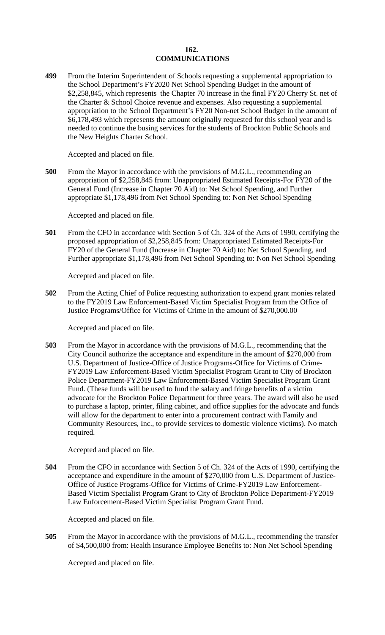### **162. COMMUNICATIONS**

**499** From the Interim Superintendent of Schools requesting a supplemental appropriation to the School Department's FY2020 Net School Spending Budget in the amount of \$2,258,845, which represents the Chapter 70 increase in the final FY20 Cherry St. net of the Charter & School Choice revenue and expenses. Also requesting a supplemental appropriation to the School Department's FY20 Non-net School Budget in the amount of \$6,178,493 which represents the amount originally requested for this school year and is needed to continue the busing services for the students of Brockton Public Schools and the New Heights Charter School.

Accepted and placed on file.

**500** From the Mayor in accordance with the provisions of M.G.L., recommending an appropriation of \$2,258,845 from: Unappropriated Estimated Receipts-For FY20 of the General Fund (Increase in Chapter 70 Aid) to: Net School Spending, and Further appropriate \$1,178,496 from Net School Spending to: Non Net School Spending

Accepted and placed on file.

**501** From the CFO in accordance with Section 5 of Ch. 324 of the Acts of 1990, certifying the proposed appropriation of \$2,258,845 from: Unappropriated Estimated Receipts-For FY20 of the General Fund (Increase in Chapter 70 Aid) to: Net School Spending, and Further appropriate \$1,178,496 from Net School Spending to: Non Net School Spending

Accepted and placed on file.

**502** From the Acting Chief of Police requesting authorization to expend grant monies related to the FY2019 Law Enforcement-Based Victim Specialist Program from the Office of Justice Programs/Office for Victims of Crime in the amount of \$270,000.00

Accepted and placed on file.

**503** From the Mayor in accordance with the provisions of M.G.L., recommending that the City Council authorize the acceptance and expenditure in the amount of \$270,000 from U.S. Department of Justice-Office of Justice Programs-Office for Victims of Crime-FY2019 Law Enforcement-Based Victim Specialist Program Grant to City of Brockton Police Department-FY2019 Law Enforcement-Based Victim Specialist Program Grant Fund. (These funds will be used to fund the salary and fringe benefits of a victim advocate for the Brockton Police Department for three years. The award will also be used to purchase a laptop, printer, filing cabinet, and office supplies for the advocate and funds will allow for the department to enter into a procurement contract with Family and Community Resources, Inc., to provide services to domestic violence victims). No match required.

Accepted and placed on file.

**504** From the CFO in accordance with Section 5 of Ch. 324 of the Acts of 1990, certifying the acceptance and expenditure in the amount of \$270,000 from U.S. Department of Justice-Office of Justice Programs-Office for Victims of Crime-FY2019 Law Enforcement-Based Victim Specialist Program Grant to City of Brockton Police Department-FY2019 Law Enforcement-Based Victim Specialist Program Grant Fund.

Accepted and placed on file.

**505** From the Mayor in accordance with the provisions of M.G.L., recommending the transfer of \$4,500,000 from: Health Insurance Employee Benefits to: Non Net School Spending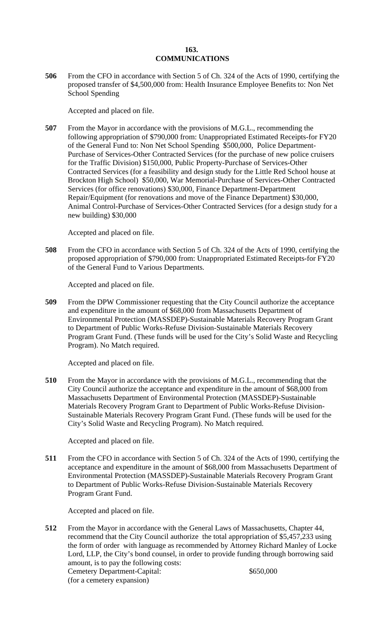# **163. COMMUNICATIONS**

**506** From the CFO in accordance with Section 5 of Ch. 324 of the Acts of 1990, certifying the proposed transfer of \$4,500,000 from: Health Insurance Employee Benefits to: Non Net School Spending

Accepted and placed on file.

**507** From the Mayor in accordance with the provisions of M.G.L., recommending the following appropriation of \$790,000 from: Unappropriated Estimated Receipts-for FY20 of the General Fund to: Non Net School Spending \$500,000, Police Department-Purchase of Services-Other Contracted Services (for the purchase of new police cruisers for the Traffic Division) \$150,000, Public Property-Purchase of Services-Other Contracted Services (for a feasibility and design study for the Little Red School house at Brockton High School) \$50,000, War Memorial-Purchase of Services-Other Contracted Services (for office renovations) \$30,000, Finance Department-Department Repair/Equipment (for renovations and move of the Finance Department) \$30,000, Animal Control-Purchase of Services-Other Contracted Services (for a design study for a new building) \$30,000

Accepted and placed on file.

**508** From the CFO in accordance with Section 5 of Ch. 324 of the Acts of 1990, certifying the proposed appropriation of \$790,000 from: Unappropriated Estimated Receipts-for FY20 of the General Fund to Various Departments.

Accepted and placed on file.

**509** From the DPW Commissioner requesting that the City Council authorize the acceptance and expenditure in the amount of \$68,000 from Massachusetts Department of Environmental Protection (MASSDEP)-Sustainable Materials Recovery Program Grant to Department of Public Works-Refuse Division-Sustainable Materials Recovery Program Grant Fund. (These funds will be used for the City's Solid Waste and Recycling Program). No Match required.

Accepted and placed on file.

**510** From the Mayor in accordance with the provisions of M.G.L., recommending that the City Council authorize the acceptance and expenditure in the amount of \$68,000 from Massachusetts Department of Environmental Protection (MASSDEP)-Sustainable Materials Recovery Program Grant to Department of Public Works-Refuse Division-Sustainable Materials Recovery Program Grant Fund. (These funds will be used for the City's Solid Waste and Recycling Program). No Match required.

Accepted and placed on file.

**511** From the CFO in accordance with Section 5 of Ch. 324 of the Acts of 1990, certifying the acceptance and expenditure in the amount of \$68,000 from Massachusetts Department of Environmental Protection (MASSDEP)-Sustainable Materials Recovery Program Grant to Department of Public Works-Refuse Division-Sustainable Materials Recovery Program Grant Fund.

Accepted and placed on file.

**512** From the Mayor in accordance with the General Laws of Massachusetts, Chapter 44, recommend that the City Council authorize the total appropriation of \$5,457,233 using the form of order with language as recommended by Attorney Richard Manley of Locke Lord, LLP, the City's bond counsel, in order to provide funding through borrowing said amount, is to pay the following costs: Cemetery Department-Capital: \$650,000 (for a cemetery expansion)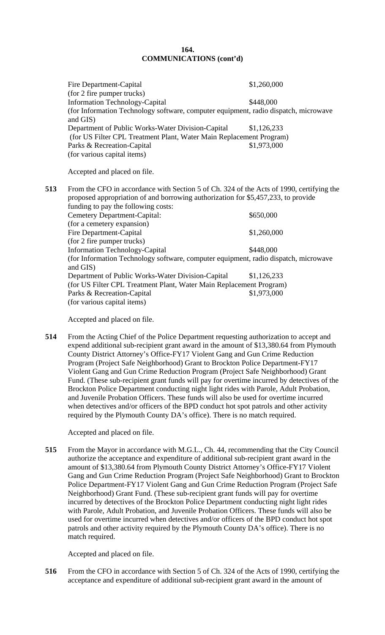# **164. COMMUNICATIONS (cont'd)**

|     | Fire Department-Capital                                                                         | \$1,260,000 |
|-----|-------------------------------------------------------------------------------------------------|-------------|
|     | (for 2 fire pumper trucks)                                                                      |             |
|     | <b>Information Technology-Capital</b>                                                           | \$448,000   |
|     | (for Information Technology software, computer equipment, radio dispatch, microwave<br>and GIS) |             |
|     | Department of Public Works-Water Division-Capital                                               | \$1,126,233 |
|     | (for US Filter CPL Treatment Plant, Water Main Replacement Program)                             |             |
|     | Parks & Recreation-Capital                                                                      | \$1,973,000 |
|     | (for various capital items)                                                                     |             |
|     | Accepted and placed on file.                                                                    |             |
| 513 | From the CFO in accordance with Section 5 of Ch. 324 of the Acts of 1990, certifying the        |             |
|     | proposed appropriation of and borrowing authorization for \$5,457,233, to provide               |             |
|     | funding to pay the following costs:                                                             |             |
|     | <b>Cemetery Department-Capital:</b>                                                             | \$650,000   |
|     | (for a cemetery expansion)                                                                      |             |
|     | Fire Department-Capital                                                                         | \$1,260,000 |
|     | (for 2 fire pumper trucks)                                                                      |             |
|     | <b>Information Technology-Capital</b>                                                           | \$448,000   |
|     | (for Information Technology software, computer equipment, radio dispatch, microwave             |             |
|     | and GIS)                                                                                        |             |
|     | Department of Public Works-Water Division-Capital                                               | \$1,126,233 |
|     | (for US Filter CPL Treatment Plant, Water Main Replacement Program)                             |             |

Accepted and placed on file.

(for various capital items)

**514** From the Acting Chief of the Police Department requesting authorization to accept and expend additional sub-recipient grant award in the amount of \$13,380.64 from Plymouth County District Attorney's Office-FY17 Violent Gang and Gun Crime Reduction Program (Project Safe Neighborhood) Grant to Brockton Police Department-FY17 Violent Gang and Gun Crime Reduction Program (Project Safe Neighborhood) Grant Fund. (These sub-recipient grant funds will pay for overtime incurred by detectives of the Brockton Police Department conducting night light rides with Parole, Adult Probation, and Juvenile Probation Officers. These funds will also be used for overtime incurred when detectives and/or officers of the BPD conduct hot spot patrols and other activity required by the Plymouth County DA's office). There is no match required.

Parks & Recreation-Capital \$1,973,000

Accepted and placed on file.

**515** From the Mayor in accordance with M.G.L., Ch. 44, recommending that the City Council authorize the acceptance and expenditure of additional sub-recipient grant award in the amount of \$13,380.64 from Plymouth County District Attorney's Office-FY17 Violent Gang and Gun Crime Reduction Program (Project Safe Neighborhood) Grant to Brockton Police Department-FY17 Violent Gang and Gun Crime Reduction Program (Project Safe Neighborhood) Grant Fund. (These sub-recipient grant funds will pay for overtime incurred by detectives of the Brockton Police Department conducting night light rides with Parole, Adult Probation, and Juvenile Probation Officers. These funds will also be used for overtime incurred when detectives and/or officers of the BPD conduct hot spot patrols and other activity required by the Plymouth County DA's office). There is no match required.

Accepted and placed on file.

**516** From the CFO in accordance with Section 5 of Ch. 324 of the Acts of 1990, certifying the acceptance and expenditure of additional sub-recipient grant award in the amount of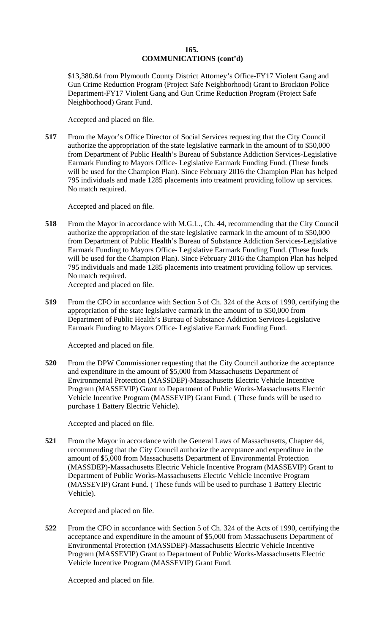## **165. COMMUNICATIONS (cont'd)**

\$13,380.64 from Plymouth County District Attorney's Office-FY17 Violent Gang and Gun Crime Reduction Program (Project Safe Neighborhood) Grant to Brockton Police Department-FY17 Violent Gang and Gun Crime Reduction Program (Project Safe Neighborhood) Grant Fund.

Accepted and placed on file.

**517** From the Mayor's Office Director of Social Services requesting that the City Council authorize the appropriation of the state legislative earmark in the amount of to \$50,000 from Department of Public Health's Bureau of Substance Addiction Services-Legislative Earmark Funding to Mayors Office- Legislative Earmark Funding Fund. (These funds will be used for the Champion Plan). Since February 2016 the Champion Plan has helped 795 individuals and made 1285 placements into treatment providing follow up services. No match required.

Accepted and placed on file.

- **518** From the Mayor in accordance with M.G.L., Ch. 44, recommending that the City Council authorize the appropriation of the state legislative earmark in the amount of to \$50,000 from Department of Public Health's Bureau of Substance Addiction Services-Legislative Earmark Funding to Mayors Office- Legislative Earmark Funding Fund. (These funds will be used for the Champion Plan). Since February 2016 the Champion Plan has helped 795 individuals and made 1285 placements into treatment providing follow up services. No match required. Accepted and placed on file.
- **519** From the CFO in accordance with Section 5 of Ch. 324 of the Acts of 1990, certifying the appropriation of the state legislative earmark in the amount of to \$50,000 from Department of Public Health's Bureau of Substance Addiction Services-Legislative Earmark Funding to Mayors Office- Legislative Earmark Funding Fund.

Accepted and placed on file.

**520** From the DPW Commissioner requesting that the City Council authorize the acceptance and expenditure in the amount of \$5,000 from Massachusetts Department of Environmental Protection (MASSDEP)-Massachusetts Electric Vehicle Incentive Program (MASSEVIP) Grant to Department of Public Works-Massachusetts Electric Vehicle Incentive Program (MASSEVIP) Grant Fund. ( These funds will be used to purchase 1 Battery Electric Vehicle).

Accepted and placed on file.

**521** From the Mayor in accordance with the General Laws of Massachusetts, Chapter 44, recommending that the City Council authorize the acceptance and expenditure in the amount of \$5,000 from Massachusetts Department of Environmental Protection (MASSDEP)-Massachusetts Electric Vehicle Incentive Program (MASSEVIP) Grant to Department of Public Works-Massachusetts Electric Vehicle Incentive Program (MASSEVIP) Grant Fund. ( These funds will be used to purchase 1 Battery Electric Vehicle).

Accepted and placed on file.

**522** From the CFO in accordance with Section 5 of Ch. 324 of the Acts of 1990, certifying the acceptance and expenditure in the amount of \$5,000 from Massachusetts Department of Environmental Protection (MASSDEP)-Massachusetts Electric Vehicle Incentive Program (MASSEVIP) Grant to Department of Public Works-Massachusetts Electric Vehicle Incentive Program (MASSEVIP) Grant Fund.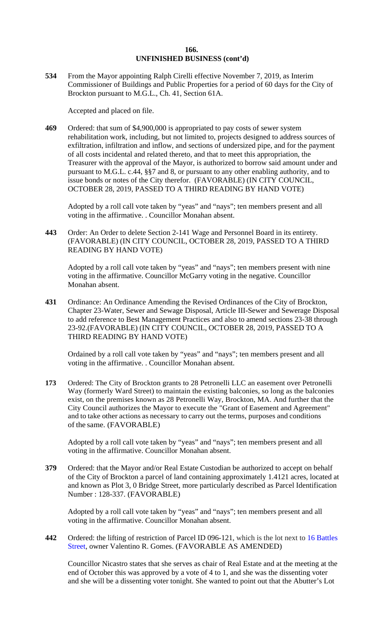**534** From the Mayor appointing Ralph Cirelli effective November 7, 2019, as Interim Commissioner of Buildings and Public Properties for a period of 60 days for the City of Brockton pursuant to M.G.L., Ch. 41, Section 61A.

Accepted and placed on file.

**469** Ordered: that sum of \$4,900,000 is appropriated to pay costs of sewer system rehabilitation work, including, but not limited to, projects designed to address sources of exfiltration, infiltration and inflow, and sections of undersized pipe, and for the payment of all costs incidental and related thereto, and that to meet this appropriation, the Treasurer with the approval of the Mayor, is authorized to borrow said amount under and pursuant to M.G.L. c.44, §§7 and 8, or pursuant to any other enabling authority, and to issue bonds or notes of the City therefor. (FAVORABLE) (IN CITY COUNCIL, OCTOBER 28, 2019, PASSED TO A THIRD READING BY HAND VOTE)

Adopted by a roll call vote taken by "yeas" and "nays"; ten members present and all voting in the affirmative. . Councillor Monahan absent.

**443** Order: An Order to delete Section 2-141 Wage and Personnel Board in its entirety. (FAVORABLE) (IN CITY COUNCIL, OCTOBER 28, 2019, PASSED TO A THIRD READING BY HAND VOTE)

Adopted by a roll call vote taken by "yeas" and "nays"; ten members present with nine voting in the affirmative. Councillor McGarry voting in the negative. Councillor Monahan absent.

**431** Ordinance: An Ordinance Amending the Revised Ordinances of the City of Brockton, Chapter 23-Water, Sewer and Sewage Disposal, Article III-Sewer and Sewerage Disposal to add reference to Best Management Practices and also to amend sections 23-38 through 23-92.(FAVORABLE) (IN CITY COUNCIL, OCTOBER 28, 2019, PASSED TO A THIRD READING BY HAND VOTE)

Ordained by a roll call vote taken by "yeas" and "nays"; ten members present and all voting in the affirmative. . Councillor Monahan absent.

**173** Ordered: The City of Brockton grants to 28 Petronelli LLC an easement over Petronelli Way (formerly Ward Street) to maintain the existing balconies, so long as the balconies exist, on the premises known as 28 Petronelli Way, Brockton, MA. And further that the City Council authorizes the Mayor to execute the "Grant of Easement and Agreement" and to take other actions as necessary to carry out the terms, purposes and conditions of the same. (FAVORABLE)

Adopted by a roll call vote taken by "yeas" and "nays"; ten members present and all voting in the affirmative. Councillor Monahan absent.

**379** Ordered: that the Mayor and/or Real Estate Custodian be authorized to accept on behalf of the City of Brockton a parcel of land containing approximately 1.4121 acres, located at and known as Plot 3, 0 Bridge Street, more particularly described as Parcel Identification Number : 128-337. (FAVORABLE)

Adopted by a roll call vote taken by "yeas" and "nays"; ten members present and all voting in the affirmative. Councillor Monahan absent.

**442** Ordered: the lifting of restriction of Parcel ID 096-121, which is the lot next to 16 Battles Street, owner Valentino R. Gomes. (FAVORABLE AS AMENDED)

Councillor Nicastro states that she serves as chair of Real Estate and at the meeting at the end of October this was approved by a vote of 4 to 1, and she was the dissenting voter and she will be a dissenting voter tonight. She wanted to point out that the Abutter's Lot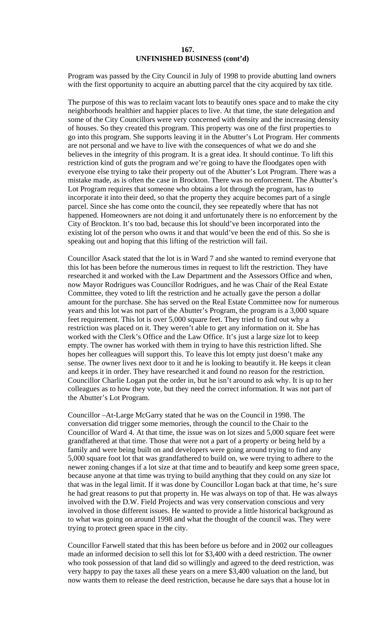Program was passed by the City Council in July of 1998 to provide abutting land owners with the first opportunity to acquire an abutting parcel that the city acquired by tax title.

The purpose of this was to reclaim vacant lots to beautify ones space and to make the city neighborhoods healthier and happier places to live. At that time, the state delegation and some of the City Councillors were very concerned with density and the increasing density of houses. So they created this program. This property was one of the first properties to go into this program. She supports leaving it in the Abutter's Lot Program. Her comments are not personal and we have to live with the consequences of what we do and she believes in the integrity of this program. It is a great idea. It should continue. To lift this restriction kind of guts the program and we're going to have the floodgates open with everyone else trying to take their property out of the Abutter's Lot Program. There was a mistake made, as is often the case in Brockton. There was no enforcement. The Abutter's Lot Program requires that someone who obtains a lot through the program, has to incorporate it into their deed, so that the property they acquire becomes part of a single parcel. Since she has come onto the council, they see repeatedly where that has not happened. Homeowners are not doing it and unfortunately there is no enforcement by the City of Brockton. It's too bad, because this lot should've been incorporated into the existing lot of the person who owns it and that would've been the end of this. So she is speaking out and hoping that this lifting of the restriction will fail.

Councillor Asack stated that the lot is in Ward 7 and she wanted to remind everyone that this lot has been before the numerous times in request to lift the restriction. They have researched it and worked with the Law Department and the Assessors Office and when, now Mayor Rodrigues was Councillor Rodrigues, and he was Chair of the Real Estate Committee, they voted to lift the restriction and he actually gave the person a dollar amount for the purchase. She has served on the Real Estate Committee now for numerous years and this lot was not part of the Abutter's Program, the program is a 3,000 square feet requirement. This lot is over 5,000 square feet. They tried to find out why a restriction was placed on it. They weren't able to get any information on it. She has worked with the Clerk's Office and the Law Office. It's just a large size lot to keep empty. The owner has worked with them in trying to have this restriction lifted. She hopes her colleagues will support this. To leave this lot empty just doesn't make any sense. The owner lives next door to it and he is looking to beautify it. He keeps it clean and keeps it in order. They have researched it and found no reason for the restriction. Councillor Charlie Logan put the order in, but he isn't around to ask why. It is up to her colleagues as to how they vote, but they need the correct information. It was not part of the Abutter's Lot Program.

Councillor –At-Large McGarry stated that he was on the Council in 1998. The conversation did trigger some memories, through the council to the Chair to the Councillor of Ward 4. At that time, the issue was on lot sizes and 5,000 square feet were grandfathered at that time. Those that were not a part of a property or being held by a family and were being built on and developers were going around trying to find any 5,000 square foot lot that was grandfathered to build on, we were trying to adhere to the newer zoning changes if a lot size at that time and to beautify and keep some green space, because anyone at that time was trying to build anything that they could on any size lot that was in the legal limit. If it was done by Councillor Logan back at that time, he's sure he had great reasons to put that property in. He was always on top of that. He was always involved with the D.W. Field Projects and was very conservation conscious and very involved in those different issues. He wanted to provide a little historical background as to what was going on around 1998 and what the thought of the council was. They were trying to protect green space in the city.

Councillor Farwell stated that this has been before us before and in 2002 our colleagues made an informed decision to sell this lot for \$3,400 with a deed restriction. The owner who took possession of that land did so willingly and agreed to the deed restriction, was very happy to pay the taxes all these years on a mere \$3,400 valuation on the land, but now wants them to release the deed restriction, because he dare says that a house lot in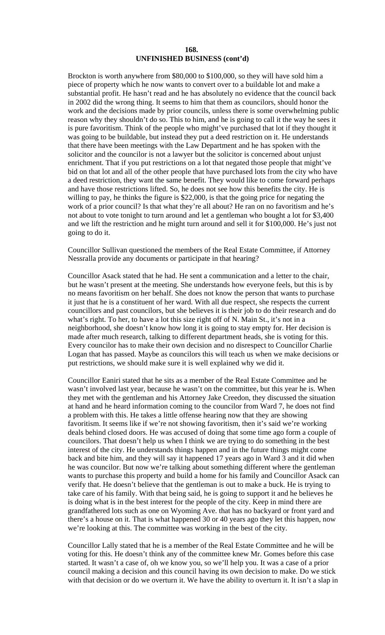Brockton is worth anywhere from \$80,000 to \$100,000, so they will have sold him a piece of property which he now wants to convert over to a buildable lot and make a substantial profit. He hasn't read and he has absolutely no evidence that the council back in 2002 did the wrong thing. It seems to him that them as councilors, should honor the work and the decisions made by prior councils, unless there is some overwhelming public reason why they shouldn't do so. This to him, and he is going to call it the way he sees it is pure favoritism. Think of the people who might've purchased that lot if they thought it was going to be buildable, but instead they put a deed restriction on it. He understands that there have been meetings with the Law Department and he has spoken with the solicitor and the councilor is not a lawyer but the solicitor is concerned about unjust enrichment. That if you put restrictions on a lot that negated those people that might've bid on that lot and all of the other people that have purchased lots from the city who have a deed restriction, they want the same benefit. They would like to come forward perhaps and have those restrictions lifted. So, he does not see how this benefits the city. He is willing to pay, he thinks the figure is \$22,000, is that the going price for negating the work of a prior council? Is that what they're all about? He ran on no favoritism and he's not about to vote tonight to turn around and let a gentleman who bought a lot for \$3,400 and we lift the restriction and he might turn around and sell it for \$100,000. He's just not going to do it.

Councillor Sullivan questioned the members of the Real Estate Committee, if Attorney Nessralla provide any documents or participate in that hearing?

Councillor Asack stated that he had. He sent a communication and a letter to the chair, but he wasn't present at the meeting. She understands how everyone feels, but this is by no means favoritism on her behalf. She does not know the person that wants to purchase it just that he is a constituent of her ward. With all due respect, she respects the current councillors and past councilors, but she believes it is their job to do their research and do what's right. To her, to have a lot this size right off of N. Main St., it's not in a neighborhood, she doesn't know how long it is going to stay empty for. Her decision is made after much research, talking to different department heads, she is voting for this. Every councilor has to make their own decision and no disrespect to Councillor Charlie Logan that has passed. Maybe as councilors this will teach us when we make decisions or put restrictions, we should make sure it is well explained why we did it.

Councillor Eaniri stated that he sits as a member of the Real Estate Committee and he wasn't involved last year, because he wasn't on the committee, but this year he is. When they met with the gentleman and his Attorney Jake Creedon, they discussed the situation at hand and he heard information coming to the councilor from Ward 7, he does not find a problem with this. He takes a little offense hearing now that they are showing favoritism. It seems like if we're not showing favoritism, then it's said we're working deals behind closed doors. He was accused of doing that some time ago form a couple of councilors. That doesn't help us when I think we are trying to do something in the best interest of the city. He understands things happen and in the future things might come back and bite him, and they will say it happened 17 years ago in Ward 3 and it did when he was councilor. But now we're talking about something different where the gentleman wants to purchase this property and build a home for his family and Councillor Asack can verify that. He doesn't believe that the gentleman is out to make a buck. He is trying to take care of his family. With that being said, he is going to support it and he believes he is doing what is in the best interest for the people of the city. Keep in mind there are grandfathered lots such as one on Wyoming Ave. that has no backyard or front yard and there's a house on it. That is what happened 30 or 40 years ago they let this happen, now we're looking at this. The committee was working in the best of the city.

Councillor Lally stated that he is a member of the Real Estate Committee and he will be voting for this. He doesn't think any of the committee knew Mr. Gomes before this case started. It wasn't a case of, oh we know you, so we'll help you. It was a case of a prior council making a decision and this council having its own decision to make. Do we stick with that decision or do we overturn it. We have the ability to overturn it. It isn't a slap in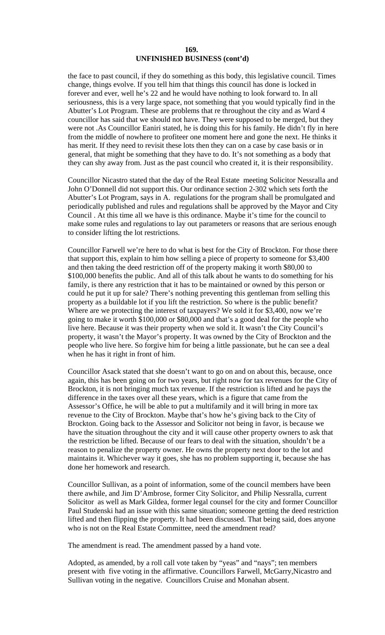the face to past council, if they do something as this body, this legislative council. Times change, things evolve. If you tell him that things this council has done is locked in forever and ever, well he's 22 and he would have nothing to look forward to. In all seriousness, this is a very large space, not something that you would typically find in the Abutter's Lot Program. These are problems that re throughout the city and as Ward 4 councillor has said that we should not have. They were supposed to be merged, but they were not .As Councillor Eaniri stated, he is doing this for his family. He didn't fly in here from the middle of nowhere to profiteer one moment here and gone the next. He thinks it has merit. If they need to revisit these lots then they can on a case by case basis or in general, that might be something that they have to do. It's not something as a body that they can shy away from. Just as the past council who created it, it is their responsibility.

Councillor Nicastro stated that the day of the Real Estate meeting Solicitor Nessralla and John O'Donnell did not support this. Our ordinance section 2-302 which sets forth the Abutter's Lot Program, says in A. regulations for the program shall be promulgated and periodically published and rules and regulations shall be approved by the Mayor and City Council . At this time all we have is this ordinance. Maybe it's time for the council to make some rules and regulations to lay out parameters or reasons that are serious enough to consider lifting the lot restrictions.

Councillor Farwell we're here to do what is best for the City of Brockton. For those there that support this, explain to him how selling a piece of property to someone for \$3,400 and then taking the deed restriction off of the property making it worth \$80,00 to \$100,000 benefits the public. And all of this talk about he wants to do something for his family, is there any restriction that it has to be maintained or owned by this person or could he put it up for sale? There's nothing preventing this gentleman from selling this property as a buildable lot if you lift the restriction. So where is the public benefit? Where are we protecting the interest of taxpayers? We sold it for \$3,400, now we're going to make it worth \$100,000 or \$80,000 and that's a good deal for the people who live here. Because it was their property when we sold it. It wasn't the City Council's property, it wasn't the Mayor's property. It was owned by the City of Brockton and the people who live here. So forgive him for being a little passionate, but he can see a deal when he has it right in front of him.

Councillor Asack stated that she doesn't want to go on and on about this, because, once again, this has been going on for two years, but right now for tax revenues for the City of Brockton, it is not bringing much tax revenue. If the restriction is lifted and he pays the difference in the taxes over all these years, which is a figure that came from the Assessor's Office, he will be able to put a multifamily and it will bring in more tax revenue to the City of Brockton. Maybe that's how he's giving back to the City of Brockton. Going back to the Assessor and Solicitor not being in favor, is because we have the situation throughout the city and it will cause other property owners to ask that the restriction be lifted. Because of our fears to deal with the situation, shouldn't be a reason to penalize the property owner. He owns the property next door to the lot and maintains it. Whichever way it goes, she has no problem supporting it, because she has done her homework and research.

Councillor Sullivan, as a point of information, some of the council members have been there awhile, and Jim D'Ambrose, former City Solicitor, and Philip Nessralla, current Solicitor as well as Mark Gildea, former legal counsel for the city and former Councillor Paul Studenski had an issue with this same situation; someone getting the deed restriction lifted and then flipping the property. It had been discussed. That being said, does anyone who is not on the Real Estate Committee, need the amendment read?

The amendment is read. The amendment passed by a hand vote.

Adopted, as amended, by a roll call vote taken by "yeas" and "nays"; ten members present with five voting in the affirmative. Councillors Farwell, McGarry,Nicastro and Sullivan voting in the negative. Councillors Cruise and Monahan absent.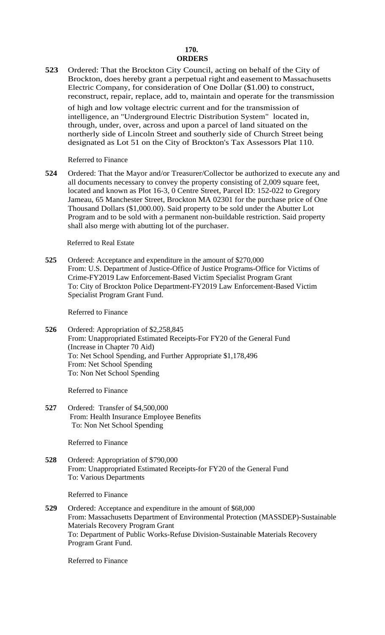# **170. ORDERS**

**523** Ordered: That the Brockton City Council, acting on behalf of the City of Brockton, does hereby grant a perpetual right and easement to Massachusetts Electric Company, for consideration of One Dollar (\$1.00) to construct, reconstruct, repair, replace, add to, maintain and operate for the transmission of high and low voltage electric current and for the transmission of

intelligence, an "Underground Electric Distribution System" located in, through, under, over, across and upon a parcel of land situated on the northerly side of Lincoln Street and southerly side of Church Street being designated as Lot 51 on the City of Brockton's Tax Assessors Plat 110.

Referred to Finance

**524** Ordered: That the Mayor and/or Treasurer/Collector be authorized to execute any and all documents necessary to convey the property consisting of 2,009 square feet, located and known as Plot 16-3, 0 Centre Street, Parcel ID: 152-022 to Gregory Jameau, 65 Manchester Street, Brockton MA 02301 for the purchase price of One Thousand Dollars (\$1,000.00). Said property to be sold under the Abutter Lot Program and to be sold with a permanent non-buildable restriction. Said property shall also merge with abutting lot of the purchaser.

Referred to Real Estate

**525** Ordered: Acceptance and expenditure in the amount of \$270,000 From: U.S. Department of Justice-Office of Justice Programs-Office for Victims of Crime-FY2019 Law Enforcement-Based Victim Specialist Program Grant To: City of Brockton Police Department-FY2019 Law Enforcement-Based Victim Specialist Program Grant Fund.

Referred to Finance

**526** Ordered: Appropriation of \$2,258,845 From: Unappropriated Estimated Receipts-For FY20 of the General Fund (Increase in Chapter 70 Aid) To: Net School Spending, and Further Appropriate \$1,178,496 From: Net School Spending To: Non Net School Spending

Referred to Finance

**527** Ordered: Transfer of \$4,500,000 From: Health Insurance Employee Benefits To: Non Net School Spending

Referred to Finance

**528** Ordered: Appropriation of \$790,000 From: Unappropriated Estimated Receipts-for FY20 of the General Fund To: Various Departments

Referred to Finance

**529** Ordered: Acceptance and expenditure in the amount of \$68,000 From: Massachusetts Department of Environmental Protection (MASSDEP)-Sustainable Materials Recovery Program Grant To: Department of Public Works-Refuse Division-Sustainable Materials Recovery Program Grant Fund.

Referred to Finance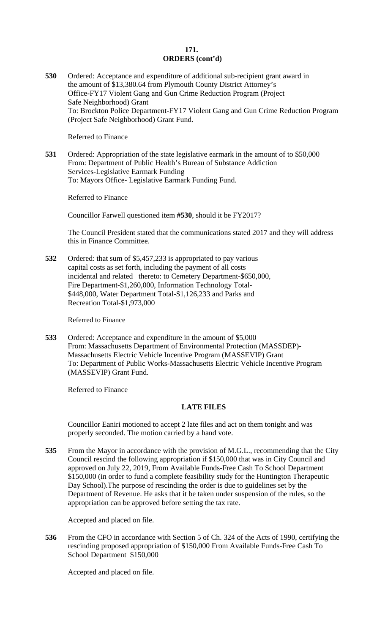# **171. ORDERS (cont'd)**

**530** Ordered: Acceptance and expenditure of additional sub-recipient grant award in the amount of \$13,380.64 from Plymouth County District Attorney's Office-FY17 Violent Gang and Gun Crime Reduction Program (Project Safe Neighborhood) Grant To: Brockton Police Department-FY17 Violent Gang and Gun Crime Reduction Program (Project Safe Neighborhood) Grant Fund.

Referred to Finance

**531** Ordered: Appropriation of the state legislative earmark in the amount of to \$50,000 From: Department of Public Health's Bureau of Substance Addiction Services-Legislative Earmark Funding To: Mayors Office- Legislative Earmark Funding Fund.

Referred to Finance

Councillor Farwell questioned item **#530**, should it be FY2017?

The Council President stated that the communications stated 2017 and they will address this in Finance Committee.

**532** Ordered: that sum of \$5,457,233 is appropriated to pay various capital costs as set forth, including the payment of all costs incidental and related thereto: to Cemetery Department-\$650,000, Fire Department-\$1,260,000, Information Technology Total- \$448,000, Water Department Total-\$1,126,233 and Parks and Recreation Total-\$1,973,000

Referred to Finance

**533** Ordered: Acceptance and expenditure in the amount of \$5,000 From: Massachusetts Department of Environmental Protection (MASSDEP)- Massachusetts Electric Vehicle Incentive Program (MASSEVIP) Grant To: Department of Public Works-Massachusetts Electric Vehicle Incentive Program (MASSEVIP) Grant Fund.

Referred to Finance

### **LATE FILES**

Councillor Eaniri motioned to accept 2 late files and act on them tonight and was properly seconded. The motion carried by a hand vote.

**535** From the Mayor in accordance with the provision of M.G.L., recommending that the City Council rescind the following appropriation if \$150,000 that was in City Council and approved on July 22, 2019, From Available Funds-Free Cash To School Department \$150,000 (in order to fund a complete feasibility study for the Huntington Therapeutic Day School).The purpose of rescinding the order is due to guidelines set by the Department of Revenue. He asks that it be taken under suspension of the rules, so the appropriation can be approved before setting the tax rate.

Accepted and placed on file.

**536** From the CFO in accordance with Section 5 of Ch. 324 of the Acts of 1990, certifying the rescinding proposed appropriation of \$150,000 From Available Funds-Free Cash To School Department \$150,000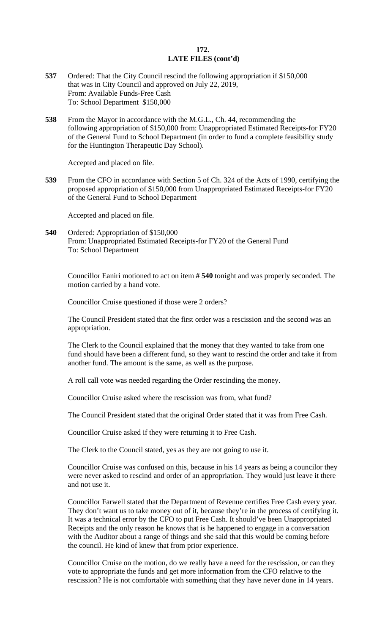### **172. LATE FILES (cont'd)**

- **537** Ordered: That the City Council rescind the following appropriation if \$150,000 that was in City Council and approved on July 22, 2019, From: Available Funds-Free Cash To: School Department \$150,000
- **538** From the Mayor in accordance with the M.G.L., Ch. 44, recommending the following appropriation of \$150,000 from: Unappropriated Estimated Receipts-for FY20 of the General Fund to School Department (in order to fund a complete feasibility study for the Huntington Therapeutic Day School).

Accepted and placed on file.

**539** From the CFO in accordance with Section 5 of Ch. 324 of the Acts of 1990, certifying the proposed appropriation of \$150,000 from Unappropriated Estimated Receipts-for FY20 of the General Fund to School Department

Accepted and placed on file.

**540** Ordered: Appropriation of \$150,000 From: Unappropriated Estimated Receipts-for FY20 of the General Fund To: School Department

Councillor Eaniri motioned to act on item **# 540** tonight and was properly seconded. The motion carried by a hand vote.

Councillor Cruise questioned if those were 2 orders?

The Council President stated that the first order was a rescission and the second was an appropriation.

The Clerk to the Council explained that the money that they wanted to take from one fund should have been a different fund, so they want to rescind the order and take it from another fund. The amount is the same, as well as the purpose.

A roll call vote was needed regarding the Order rescinding the money.

Councillor Cruise asked where the rescission was from, what fund?

The Council President stated that the original Order stated that it was from Free Cash.

Councillor Cruise asked if they were returning it to Free Cash.

The Clerk to the Council stated, yes as they are not going to use it.

Councillor Cruise was confused on this, because in his 14 years as being a councilor they were never asked to rescind and order of an appropriation. They would just leave it there and not use it.

Councillor Farwell stated that the Department of Revenue certifies Free Cash every year. They don't want us to take money out of it, because they're in the process of certifying it. It was a technical error by the CFO to put Free Cash. It should've been Unappropriated Receipts and the only reason he knows that is he happened to engage in a conversation with the Auditor about a range of things and she said that this would be coming before the council. He kind of knew that from prior experience.

Councillor Cruise on the motion, do we really have a need for the rescission, or can they vote to appropriate the funds and get more information from the CFO relative to the rescission? He is not comfortable with something that they have never done in 14 years.